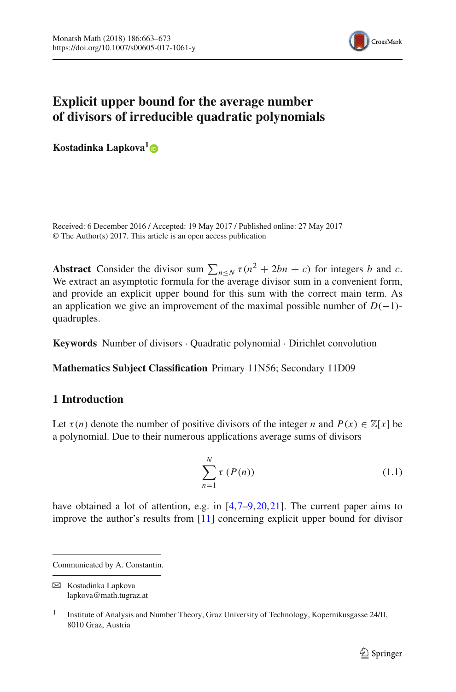

# **Explicit upper bound for the average number of divisors of irreducible quadratic polynomials**

**Kostadinka Lapkova[1](http://orcid.org/0000-0003-3975-1138)**

Received: 6 December 2016 / Accepted: 19 May 2017 / Published online: 27 May 2017 © The Author(s) 2017. This article is an open access publication

**Abstract** Consider the divisor sum  $\sum_{n \leq N} \tau(n^2 + 2bn + c)$  for integers *b* and *c*. We extract an asymptotic formula for the average divisor sum in a convenient form, and provide an explicit upper bound for this sum with the correct main term. As an application we give an improvement of the maximal possible number of  $D(-1)$ quadruples.

**Keywords** Number of divisors · Quadratic polynomial · Dirichlet convolution

**Mathematics Subject Classification** Primary 11N56; Secondary 11D09

# **1 Introduction**

Let  $\tau(n)$  denote the number of positive divisors of the integer *n* and  $P(x) \in \mathbb{Z}[x]$  be a polynomial. Due to their numerous applications average sums of divisors

<span id="page-0-0"></span>
$$
\sum_{n=1}^{N} \tau(P(n))
$$
\n(1.1)

have obtained a lot of attention, e.g. in  $[4,7–9,20,21]$  $[4,7–9,20,21]$  $[4,7–9,20,21]$  $[4,7–9,20,21]$  $[4,7–9,20,21]$  $[4,7–9,20,21]$ . The current paper aims to improve the author's results from [\[11\]](#page-10-4) concerning explicit upper bound for divisor

Communicated by A. Constantin.

B Kostadinka Lapkova lapkova@math.tugraz.at

<sup>&</sup>lt;sup>1</sup> Institute of Analysis and Number Theory, Graz University of Technology, Kopernikusgasse 24/II, 8010 Graz, Austria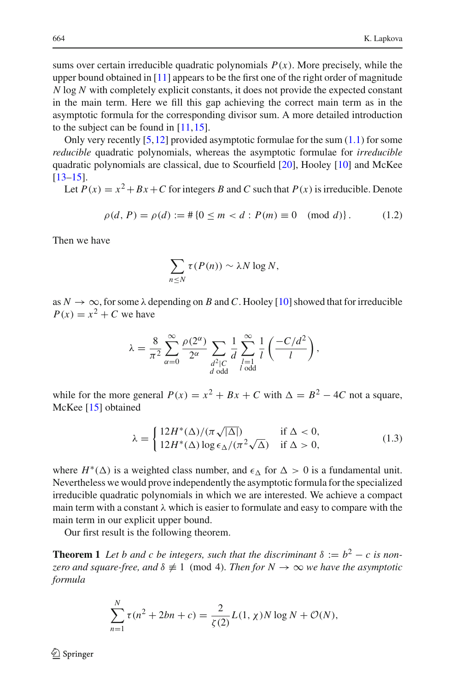sums over certain irreducible quadratic polynomials  $P(x)$ . More precisely, while the upper bound obtained in [\[11](#page-10-4)] appears to be the first one of the right order of magnitude *N* log *N* with completely explicit constants, it does not provide the expected constant in the main term. Here we fill this gap achieving the correct main term as in the asymptotic formula for the corresponding divisor sum. A more detailed introduction to the subject can be found in [\[11](#page-10-4)[,15](#page-10-5)].

Only very recently  $[5,12]$  $[5,12]$  $[5,12]$  provided asymptotic formulae for the sum  $(1.1)$  for some *reducible* quadratic polynomials, whereas the asymptotic formulae for *irreducible* quadratic polynomials are classical, due to Scourfield [\[20\]](#page-10-2), Hooley [\[10\]](#page-10-7) and McKee [\[13](#page-10-8)[–15\]](#page-10-5).

Let  $P(x) = x^2 + Bx + C$  for integers *B* and *C* such that  $P(x)$  is irreducible. Denote

<span id="page-1-2"></span>
$$
\rho(d, P) = \rho(d) := # \{ 0 \le m < d : P(m) \equiv 0 \pmod{d} \}. \tag{1.2}
$$

Then we have

$$
\sum_{n\leq N}\tau(P(n))\sim \lambda N\log N,
$$

as  $N \to \infty$ , for some  $\lambda$  depending on *B* and *C*. Hooley [\[10](#page-10-7)] showed that for irreducible  $P(x) = x^2 + C$  we have

$$
\lambda = \frac{8}{\pi^2} \sum_{\alpha=0}^{\infty} \frac{\rho(2^{\alpha})}{2^{\alpha}} \sum_{\substack{d^2 \mid C \\ d \text{ odd}}} \frac{1}{d} \sum_{\substack{l=1 \\ l \text{ odd}}}^{\infty} \frac{1}{l} \left( \frac{-C/d^2}{l} \right),
$$

while for the more general  $P(x) = x^2 + Bx + C$  with  $\Delta = B^2 - 4C$  not a square, McKee [\[15\]](#page-10-5) obtained

<span id="page-1-1"></span>
$$
\lambda = \begin{cases} 12H^*(\Delta)/(\pi\sqrt{|\Delta|}) & \text{if } \Delta < 0, \\ 12H^*(\Delta)\log \epsilon_\Delta/(\pi^2\sqrt{\Delta}) & \text{if } \Delta > 0, \end{cases}
$$
(1.3)

where  $H^*(\Delta)$  is a weighted class number, and  $\epsilon_{\Delta}$  for  $\Delta > 0$  is a fundamental unit. Nevertheless we would prove independently the asymptotic formula for the specialized irreducible quadratic polynomials in which we are interested. We achieve a compact main term with a constant  $\lambda$  which is easier to formulate and easy to compare with the main term in our explicit upper bound.

<span id="page-1-0"></span>Our first result is the following theorem.

**Theorem 1** *Let b and c be integers, such that the discriminant*  $\delta := b^2 - c$  *is nonzero and square-free, and* δ ≡ 1 (mod 4)*. Then for N* → ∞ *we have the asymptotic formula*

$$
\sum_{n=1}^{N} \tau(n^2 + 2bn + c) = \frac{2}{\zeta(2)} L(1, \chi) N \log N + \mathcal{O}(N),
$$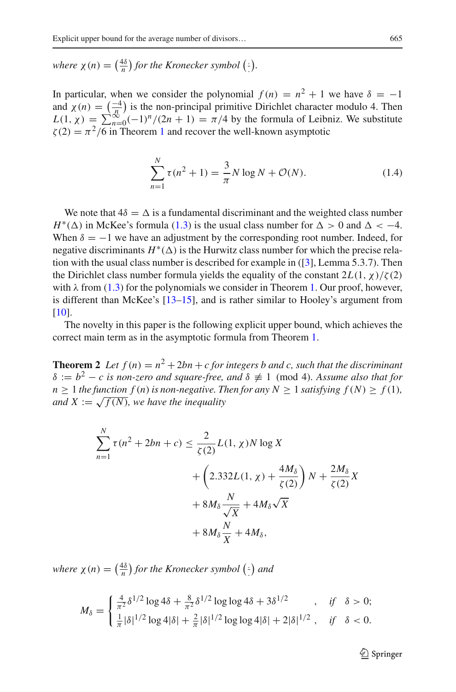*where*  $\chi(n) = \left(\frac{4\delta}{n}\right)$  for the Kronecker symbol  $\left(\frac{1}{n}\right)$ .

In particular, when we consider the polynomial  $f(n) = n^2 + 1$  we have  $\delta = -1$ and  $\chi(n) = \left(\frac{-4}{n}\right)$  is the non-principal primitive Dirichlet character modulo 4. Then  $L(1, \chi) = \sum_{n=0}^{\infty} (-1)^n/(2n+1) = \pi/4$  by the formula of Leibniz. We substitute  $\zeta(2) = \pi^2/6$  in Theorem [1](#page-1-0) and recover the well-known asymptotic

$$
\sum_{n=1}^{N} \tau(n^2 + 1) = \frac{3}{\pi} N \log N + \mathcal{O}(N).
$$
 (1.4)

We note that  $4\delta = \Delta$  is a fundamental discriminant and the weighted class number  $H^*(\Delta)$  in McKee's formula [\(1.3\)](#page-1-1) is the usual class number for  $\Delta > 0$  and  $\Delta < -4$ . When  $\delta = -1$  we have an adjustment by the corresponding root number. Indeed, for negative discriminants  $H^*(\Delta)$  is the Hurwitz class number for which the precise relation with the usual class number is described for example in ([\[3\]](#page-9-2), Lemma 5.3.7). Then the Dirichlet class number formula yields the equality of the constant  $2L(1, \chi)/\zeta(2)$ with  $\lambda$  from [\(1.3\)](#page-1-1) for the polynomials we consider in Theorem [1.](#page-1-0) Our proof, however, is different than McKee's [\[13](#page-10-8)[–15\]](#page-10-5), and is rather similar to Hooley's argument from [\[10](#page-10-7)].

<span id="page-2-0"></span>The novelty in this paper is the following explicit upper bound, which achieves the correct main term as in the asymptotic formula from Theorem [1.](#page-1-0)

**Theorem 2** Let  $f(n) = n^2 + 2bn + c$  for integers b and c, such that the discriminant  $\delta := b^2 - c$  is non-zero and square-free, and  $\delta \neq 1 \pmod{4}$ *. Assume also that for*  $n \geq 1$  *the function*  $f(n)$  *is non-negative. Then for any*  $N \geq 1$  *satisfying*  $f(N) \geq f(1)$ *, and*  $X := \sqrt{f(N)}$ *, we have the inequality* 

$$
\sum_{n=1}^{N} \tau(n^2 + 2bn + c) \le \frac{2}{\zeta(2)} L(1, \chi) N \log X
$$
  
+ 
$$
\left(2.332L(1, \chi) + \frac{4M_\delta}{\zeta(2)}\right) N + \frac{2M_\delta}{\zeta(2)} X
$$
  
+ 
$$
8M_\delta \frac{N}{\sqrt{X}} + 4M_\delta \sqrt{X}
$$
  
+ 
$$
8M_\delta \frac{N}{X} + 4M_\delta,
$$

*where*  $\chi(n) = \left(\frac{4\delta}{n}\right)$  for the Kronecker symbol  $\left(\cdot\right)$  and

$$
M_{\delta} = \begin{cases} \frac{4}{\pi^2} \delta^{1/2} \log 4\delta + \frac{8}{\pi^2} \delta^{1/2} \log \log 4\delta + 3\delta^{1/2} & , & \text{if } \delta > 0; \\ \frac{1}{\pi} |\delta|^{1/2} \log 4|\delta| + \frac{2}{\pi} |\delta|^{1/2} \log \log 4|\delta| + 2|\delta|^{1/2} & , & \text{if } \delta < 0. \end{cases}
$$

 $\mathcal{L}$  Springer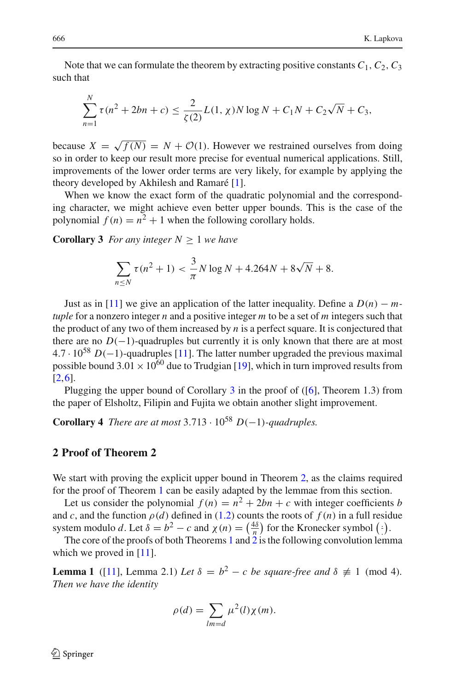Note that we can formulate the theorem by extracting positive constants  $C_1$ ,  $C_2$ ,  $C_3$ such that

$$
\sum_{n=1}^{N} \tau(n^2 + 2bn + c) \le \frac{2}{\zeta(2)} L(1, \chi) N \log N + C_1 N + C_2 \sqrt{N} + C_3,
$$

because  $X = \sqrt{f(N)} = N + \mathcal{O}(1)$ . However we restrained ourselves from doing so in order to keep our result more precise for eventual numerical applications. Still, improvements of the lower order terms are very likely, for example by applying the theory developed by Akhilesh and Ramaré [\[1](#page-9-3)].

When we know the exact form of the quadratic polynomial and the corresponding character, we might achieve even better upper bounds. This is the case of the polynomial  $f(n) = n^2 + 1$  when the following corollary holds.

<span id="page-3-0"></span>**Corollary 3** *For any integer*  $N \geq 1$  *we have* 

$$
\sum_{n \le N} \tau(n^2 + 1) < \frac{3}{\pi} N \log N + 4.264N + 8\sqrt{N} + 8.
$$

Just as in [\[11\]](#page-10-4) we give an application of the latter inequality. Define a  $D(n) - m$ *tuple* for a nonzero integer *n* and a positive integer *m* to be a set of *m* integers such that the product of any two of them increased by *n* is a perfect square. It is conjectured that there are no  $D(-1)$ -quadruples but currently it is only known that there are at most <sup>4</sup>.<sup>7</sup> · <sup>10</sup><sup>58</sup> *<sup>D</sup>*(−1)-quadruples [\[11\]](#page-10-4). The latter number upgraded the previous maximal possible bound  $3.01 \times 10^{60}$  due to Trudgian [\[19\]](#page-10-9), which in turn improved results from [\[2](#page-9-4)[,6](#page-10-10)].

Plugging the upper bound of Corollary [3](#page-3-0) in the proof of ([\[6](#page-10-10)], Theorem 1.3) from the paper of Elsholtz, Filipin and Fujita we obtain another slight improvement.

**Corollary 4** *There are at most*  $3.713 \cdot 10^{58}$  *D*(−1)*-quadruples.* 

#### **2 Proof of Theorem 2**

We start with proving the explicit upper bound in Theorem [2,](#page-2-0) as the claims required for the proof of Theorem [1](#page-1-0) can be easily adapted by the lemmae from this section.

Let us consider the polynomial  $f(n) = n^2 + 2bn + c$  with integer coefficients *b* and *c*, and the function  $\rho(d)$  defined in [\(1.2\)](#page-1-2) counts the roots of  $f(n)$  in a full residue system modulo *d*. Let  $\delta = b^2 - c$  and  $\chi(n) = \left(\frac{4\delta}{n}\right)$  for the Kronecker symbol  $(\cdot)$ .

<span id="page-3-1"></span>The core of the proofs of both Theorems [1](#page-1-0) and [2](#page-2-0) is the following convolution lemma which we proved in [\[11](#page-10-4)].

**Lemma 1** ([\[11](#page-10-4)], Lemma 2.1) *Let*  $\delta = b^2 - c$  *be square-free and*  $\delta \not\equiv 1 \pmod{4}$ *. Then we have the identity*

$$
\rho(d) = \sum_{lm=d} \mu^2(l) \chi(m).
$$

 $\textcircled{2}$  Springer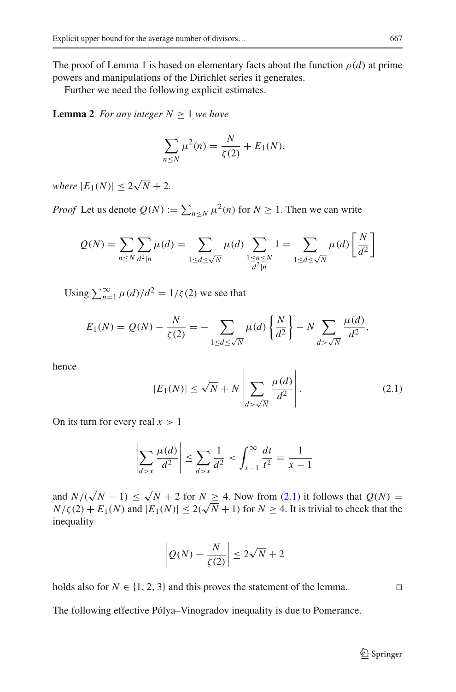The proof of Lemma [1](#page-3-1) is based on elementary facts about the function  $\rho(d)$  at prime powers and manipulations of the Dirichlet series it generates.

<span id="page-4-2"></span>Further we need the following explicit estimates.

**Lemma 2** *For any integer*  $N \geq 1$  *we have* 

$$
\sum_{n \le N} \mu^2(n) = \frac{N}{\zeta(2)} + E_1(N),
$$

 $where |E_1(N)| \leq 2\sqrt{N} + 2.$ 

*Proof* Let us denote  $Q(N) := \sum_{n \le N} \mu^2(n)$  for  $N \ge 1$ . Then we can write

$$
Q(N) = \sum_{n \le N} \sum_{d^2|n} \mu(d) = \sum_{1 \le d \le \sqrt{N}} \mu(d) \sum_{\substack{1 \le n \le N \\ d^2|n}} 1 = \sum_{1 \le d \le \sqrt{N}} \mu(d) \left[ \frac{N}{d^2} \right]
$$

Using  $\sum_{n=1}^{\infty} \mu(d)/d^2 = 1/\zeta(2)$  we see that

$$
E_1(N) = Q(N) - \frac{N}{\zeta(2)} = -\sum_{1 \le d \le \sqrt{N}} \mu(d) \left\{ \frac{N}{d^2} \right\} - N \sum_{d > \sqrt{N}} \frac{\mu(d)}{d^2},
$$

hence

<span id="page-4-0"></span>
$$
|E_1(N)| \le \sqrt{N} + N \left| \sum_{d > \sqrt{N}} \frac{\mu(d)}{d^2} \right|.
$$
 (2.1)

On its turn for every real  $x > 1$ 

$$
\left| \sum_{d>x} \frac{\mu(d)}{d^2} \right| \le \sum_{d>x} \frac{1}{d^2} < \int_{x-1}^{\infty} \frac{dt}{t^2} = \frac{1}{x-1}
$$

and  $N/(\sqrt{N}-1) \le \sqrt{N} + 2$  for  $N \ge 4$ . Now from [\(2.1\)](#page-4-0) it follows that  $Q(N) =$  $N/\zeta(2) + E_1(N)$  and  $|E_1(N)| \le 2(\sqrt{N} + 1)$  for  $N \ge 4$ . It is trivial to check that the inequality

$$
\left| Q(N) - \frac{N}{\zeta(2)} \right| \le 2\sqrt{N} + 2
$$

holds also for  $N \in \{1, 2, 3\}$  and this proves the statement of the lemma.

<span id="page-4-1"></span>The following effective Pólya–Vinogradov inequality is due to Pomerance.

<sup>2</sup> Springer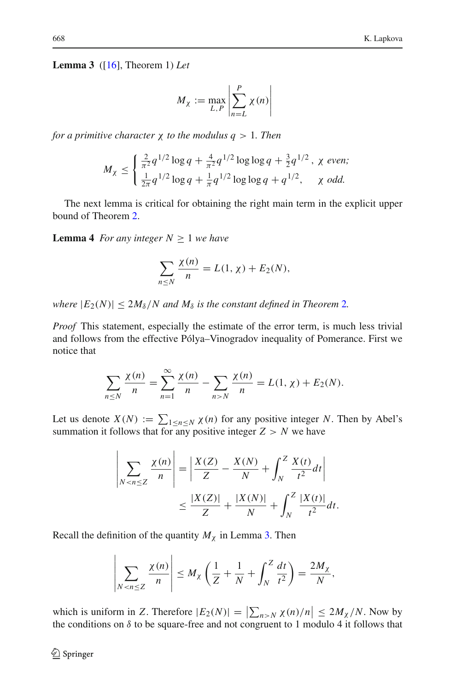**Lemma 3** ([\[16](#page-10-11)], Theorem 1) *Let*

$$
M_{\chi} := \max_{L,P} \left| \sum_{n=L}^{P} \chi(n) \right|
$$

*for a primitive character* χ *to the modulus q* > 1*. Then*

$$
M_{\chi} \le \begin{cases} \frac{2}{\pi^2} q^{1/2} \log q + \frac{4}{\pi^2} q^{1/2} \log \log q + \frac{3}{2} q^{1/2}, & \chi \text{ even}; \\ \frac{1}{2\pi} q^{1/2} \log q + \frac{1}{\pi} q^{1/2} \log \log q + q^{1/2}, & \chi \text{ odd}. \end{cases}
$$

<span id="page-5-0"></span>The next lemma is critical for obtaining the right main term in the explicit upper bound of Theorem [2.](#page-2-0)

**Lemma 4** *For any integer*  $N \geq 1$  *we have* 

$$
\sum_{n\leq N}\frac{\chi(n)}{n}=L(1,\chi)+E_2(N),
$$

*where*  $|E_2(N)| \leq 2M_\delta/N$  $|E_2(N)| \leq 2M_\delta/N$  $|E_2(N)| \leq 2M_\delta/N$  *and*  $M_\delta$  *is the constant defined in Theorem 2.* 

*Proof* This statement, especially the estimate of the error term, is much less trivial and follows from the effective Pólya–Vinogradov inequality of Pomerance. First we notice that

$$
\sum_{n \leq N} \frac{\chi(n)}{n} = \sum_{n=1}^{\infty} \frac{\chi(n)}{n} - \sum_{n > N} \frac{\chi(n)}{n} = L(1, \chi) + E_2(N).
$$

Let us denote  $X(N) := \sum_{1 \le n \le N} \chi(n)$  for any positive integer *N*. Then by Abel's summation it follows that for any positive integer  $Z > N$  we have

$$
\left| \sum_{N < n \le Z} \frac{\chi(n)}{n} \right| = \left| \frac{X(Z)}{Z} - \frac{X(N)}{N} + \int_N^Z \frac{X(t)}{t^2} dt \right| \\
\le \frac{|X(Z)|}{Z} + \frac{|X(N)|}{N} + \int_N^Z \frac{|X(t)|}{t^2} dt.
$$

Recall the definition of the quantity  $M_{\chi}$  in Lemma [3.](#page-4-1) Then

$$
\left|\sum_{N < n \le Z} \frac{\chi(n)}{n}\right| \le M_X \left(\frac{1}{Z} + \frac{1}{N} + \int_N^Z \frac{dt}{t^2}\right) = \frac{2M_X}{N},
$$

which is uniform in *Z*. Therefore  $|E_2(N)| = |\sum_{n > N} \chi(n)/n| \le 2M_\chi/N$ . Now by the conditions on  $\delta$  to be square-free and not congruent to 1 modulo 4 it follows that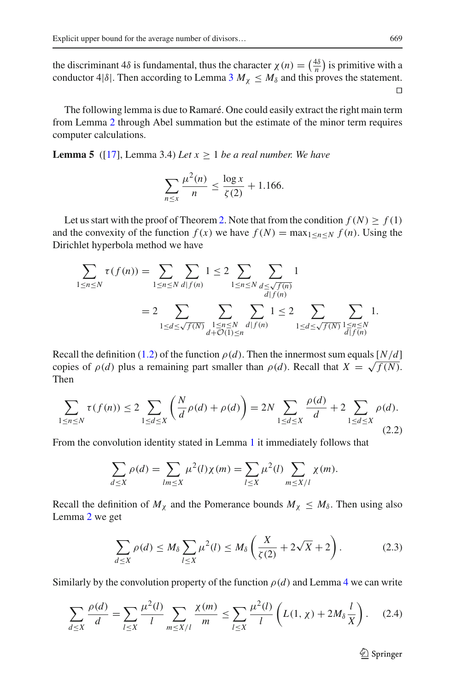the discriminant  $4\delta$  is fundamental, thus the character  $\chi(n) = \left(\frac{4\delta}{n}\right)$  is primitive with a conductor 4| $\delta$ . Then according to Lemma [3](#page-4-1)  $M_{\chi} \leq M_{\delta}$  and this proves the statement.  $\Box$ 

The following lemma is due to Ramaré. One could easily extract the right main term from Lemma [2](#page-4-2) through Abel summation but the estimate of the minor term requires computer calculations.

<span id="page-6-0"></span>**Lemma 5** ([\[17](#page-10-12)], Lemma 3.4) *Let*  $x \ge 1$  *be a real number. We have* 

$$
\sum_{n \le x} \frac{\mu^2(n)}{n} \le \frac{\log x}{\zeta(2)} + 1.166.
$$

Let us start with the proof of Theorem [2.](#page-2-0) Note that from the condition  $f(N) > f(1)$ and the convexity of the function  $f(x)$  we have  $f(N) = \max_{1 \le n \le N} f(n)$ . Using the Dirichlet hyperbola method we have

$$
\sum_{1 \le n \le N} \tau(f(n)) = \sum_{1 \le n \le N} \sum_{d \mid f(n)} 1 \le 2 \sum_{1 \le n \le N} \sum_{\substack{d \le \sqrt{f(n)} \\ d \mid f(n)}} 1
$$
  
= 2 \sum\_{1 \le d \le \sqrt{f(N)}} \sum\_{\substack{1 \le n \le N \\ d + \mathcal{O}(1) \le n}} \sum\_{\substack{d \mid f(n) \\ d \mid f(n)}} 1 \le 2 \sum\_{1 \le d \le \sqrt{f(N)}} \sum\_{\substack{1 \le n \le N \\ d \mid f(n)}} 1.

Recall the definition [\(1.2\)](#page-1-2) of the function  $\rho(d)$ . Then the innermost sum equals [*N*/*d*] copies of  $\rho(d)$  plus a remaining part smaller than  $\rho(d)$ . Recall that  $X = \sqrt{f(N)}$ . Then

<span id="page-6-2"></span>
$$
\sum_{1 \le n \le N} \tau(f(n)) \le 2 \sum_{1 \le d \le X} \left( \frac{N}{d} \rho(d) + \rho(d) \right) = 2N \sum_{1 \le d \le X} \frac{\rho(d)}{d} + 2 \sum_{1 \le d \le X} \rho(d).
$$
\n(2.2)

From the convolution identity stated in Lemma [1](#page-3-1) it immediately follows that

$$
\sum_{d \le X} \rho(d) = \sum_{lm \le X} \mu^2(l) \chi(m) = \sum_{l \le X} \mu^2(l) \sum_{m \le X/l} \chi(m).
$$

Recall the definition of  $M_\chi$  and the Pomerance bounds  $M_\chi \leq M_\delta$ . Then using also Lemma [2](#page-4-2) we get

<span id="page-6-1"></span>
$$
\sum_{d\leq X} \rho(d) \leq M_\delta \sum_{l\leq X} \mu^2(l) \leq M_\delta \left(\frac{X}{\zeta(2)} + 2\sqrt{X} + 2\right). \tag{2.3}
$$

Similarly by the convolution property of the function  $\rho(d)$  and Lemma [4](#page-5-0) we can write

<span id="page-6-3"></span>
$$
\sum_{d\leq X} \frac{\rho(d)}{d} = \sum_{l\leq X} \frac{\mu^2(l)}{l} \sum_{m\leq X/l} \frac{\chi(m)}{m} \leq \sum_{l\leq X} \frac{\mu^2(l)}{l} \left( L(1,\chi) + 2M_\delta \frac{l}{X} \right). \tag{2.4}
$$

 $\mathcal{D}$  Springer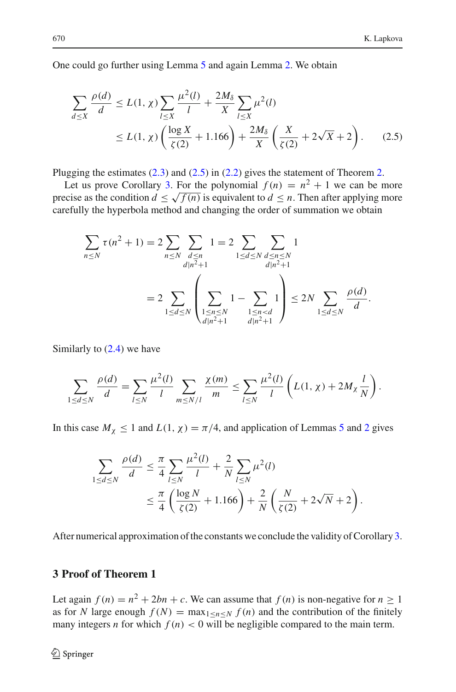One could go further using Lemma [5](#page-6-0) and again Lemma [2.](#page-4-2) We obtain

<span id="page-7-0"></span>
$$
\sum_{d \le X} \frac{\rho(d)}{d} \le L(1, \chi) \sum_{l \le X} \frac{\mu^2(l)}{l} + \frac{2M_\delta}{X} \sum_{l \le X} \mu^2(l)
$$
  
 
$$
\le L(1, \chi) \left( \frac{\log X}{\zeta(2)} + 1.166 \right) + \frac{2M_\delta}{X} \left( \frac{X}{\zeta(2)} + 2\sqrt{X} + 2 \right). \tag{2.5}
$$

Plugging the estimates  $(2.3)$  and  $(2.5)$  in  $(2.2)$  gives the statement of Theorem [2.](#page-2-0)

Let us prove Corollary [3.](#page-3-0) For the polynomial  $f(n) = n^2 + 1$  we can be more precise as the condition  $d \le \sqrt{f(n)}$  is equivalent to  $d \le n$ . Then after applying more carefully the hyperbola method and changing the order of summation we obtain

$$
\sum_{n \le N} \tau(n^2 + 1) = 2 \sum_{n \le N} \sum_{\substack{d \le n \\ d|n^2 + 1}} 1 = 2 \sum_{1 \le d \le N} \sum_{\substack{d \le n \le N \\ d|n^2 + 1}} 1
$$

$$
= 2 \sum_{1 \le d \le N} \left( \sum_{\substack{1 \le n \le N \\ d|n^2 + 1}} 1 - \sum_{\substack{1 \le n < d \\ d|n^2 + 1}} 1 \right) \le 2N \sum_{1 \le d \le N} \frac{\rho(d)}{d}.
$$

Similarly to  $(2.4)$  we have

$$
\sum_{1 \le d \le N} \frac{\rho(d)}{d} = \sum_{l \le N} \frac{\mu^2(l)}{l} \sum_{m \le N/l} \frac{\chi(m)}{m} \le \sum_{l \le N} \frac{\mu^2(l)}{l} \left( L(1, \chi) + 2M_{\chi} \frac{l}{N} \right).
$$

In this case  $M_{\chi} \le 1$  and  $L(1, \chi) = \pi/4$ , and application of Lemmas [5](#page-6-0) and [2](#page-4-2) gives

$$
\sum_{1 \le d \le N} \frac{\rho(d)}{d} \le \frac{\pi}{4} \sum_{l \le N} \frac{\mu^2(l)}{l} + \frac{2}{N} \sum_{l \le N} \mu^2(l)
$$
  

$$
\le \frac{\pi}{4} \left( \frac{\log N}{\zeta(2)} + 1.166 \right) + \frac{2}{N} \left( \frac{N}{\zeta(2)} + 2\sqrt{N} + 2 \right).
$$

After numerical approximation of the constants we conclude the validity of Corollary [3.](#page-3-0)

### **3 Proof of Theorem 1**

Let again  $f(n) = n^2 + 2bn + c$ . We can assume that  $f(n)$  is non-negative for  $n \ge 1$ as for *N* large enough  $f(N) = \max_{1 \leq n \leq N} f(n)$  and the contribution of the finitely many integers *n* for which  $f(n) < 0$  will be negligible compared to the main term.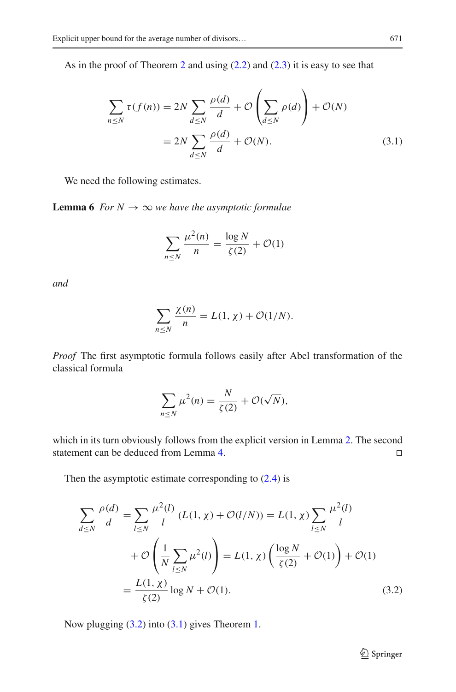As in the proof of Theorem [2](#page-2-0) and using [\(2.2\)](#page-6-2) and [\(2.3\)](#page-6-1) it is easy to see that

$$
\sum_{n \le N} \tau(f(n)) = 2N \sum_{d \le N} \frac{\rho(d)}{d} + \mathcal{O}\left(\sum_{d \le N} \rho(d)\right) + \mathcal{O}(N)
$$

$$
= 2N \sum_{d \le N} \frac{\rho(d)}{d} + \mathcal{O}(N). \tag{3.1}
$$

We need the following estimates.

**Lemma 6** *For*  $N \to \infty$  *we have the asymptotic formulae* 

<span id="page-8-1"></span>
$$
\sum_{n \le N} \frac{\mu^2(n)}{n} = \frac{\log N}{\zeta(2)} + \mathcal{O}(1)
$$

*and*

$$
\sum_{n \leq N} \frac{\chi(n)}{n} = L(1, \chi) + \mathcal{O}(1/N).
$$

*Proof* The first asymptotic formula follows easily after Abel transformation of the classical formula

$$
\sum_{n \leq N} \mu^2(n) = \frac{N}{\zeta(2)} + \mathcal{O}(\sqrt{N}),
$$

which in its turn obviously follows from the explicit version in Lemma [2.](#page-4-2) The second statement can be deduced from Lemma [4.](#page-5-0)

Then the asymptotic estimate corresponding to  $(2.4)$  is

$$
\sum_{d \le N} \frac{\rho(d)}{d} = \sum_{l \le N} \frac{\mu^2(l)}{l} (L(1, \chi) + \mathcal{O}(l/N)) = L(1, \chi) \sum_{l \le N} \frac{\mu^2(l)}{l}
$$

$$
+ \mathcal{O}\left(\frac{1}{N} \sum_{l \le N} \mu^2(l)\right) = L(1, \chi) \left(\frac{\log N}{\zeta(2)} + \mathcal{O}(1)\right) + \mathcal{O}(1)
$$

$$
= \frac{L(1, \chi)}{\zeta(2)} \log N + \mathcal{O}(1). \tag{3.2}
$$

Now plugging [\(3.2\)](#page-8-0) into [\(3.1\)](#page-8-1) gives Theorem [1.](#page-1-0)

<span id="page-8-0"></span><sup>2</sup> Springer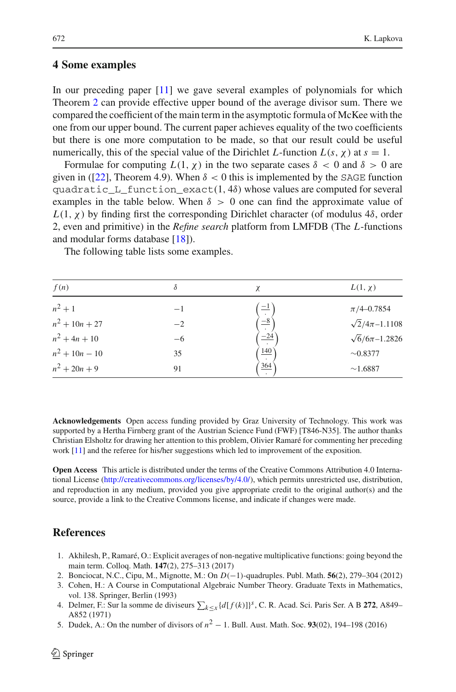#### **4 Some examples**

In our preceding paper [\[11](#page-10-4)] we gave several examples of polynomials for which Theorem [2](#page-2-0) can provide effective upper bound of the average divisor sum. There we compared the coefficient of the main term in the asymptotic formula of McKee with the one from our upper bound. The current paper achieves equality of the two coefficients but there is one more computation to be made, so that our result could be useful numerically, this of the special value of the Dirichlet *L*-function  $L(s, \chi)$  at  $s = 1$ .

Formulae for computing  $L(1, \chi)$  in the two separate cases  $\delta < 0$  and  $\delta > 0$  are given in ([\[22\]](#page-10-13), Theorem 4.9). When  $\delta < 0$  this is implemented by the SAGE function  $quadratic_L_functation\_exact(1, 4\delta)$  whose values are computed for several examples in the table below. When  $\delta > 0$  one can find the approximate value of  $L(1, \chi)$  by finding first the corresponding Dirichlet character (of modulus 4 $\delta$ , order 2, even and primitive) in the *Refine search* platform from LMFDB (The *L*-functions and modular forms database [\[18](#page-10-14)]).

The following table lists some examples.

| f(n)             | δ    | χ                     | $L(1, \chi)$             |
|------------------|------|-----------------------|--------------------------|
| $n^2 + 1$        | $-1$ | $\equiv$ <sup>1</sup> | $\pi/4 - 0.7854$         |
| $n^2 + 10n + 27$ | $-2$ | $\overline{-8}$       | $\sqrt{2}/4\pi - 1.1108$ |
| $n^2 + 4n + 10$  | $-6$ | $\frac{-24}{1}$       | $\sqrt{6}/6\pi - 1.2826$ |
| $n^2 + 10n - 10$ | 35   | 140                   | $\sim 0.8377$            |
| $n^2 + 20n + 9$  | 91   | 364                   | ~1.6887                  |

**Acknowledgements** Open access funding provided by Graz University of Technology. This work was supported by a Hertha Firnberg grant of the Austrian Science Fund (FWF) [T846-N35]. The author thanks Christian Elsholtz for drawing her attention to this problem, Olivier Ramaré for commenting her preceding work [\[11\]](#page-10-4) and the referee for his/her suggestions which led to improvement of the exposition.

**Open Access** This article is distributed under the terms of the Creative Commons Attribution 4.0 International License [\(http://creativecommons.org/licenses/by/4.0/\)](http://creativecommons.org/licenses/by/4.0/), which permits unrestricted use, distribution, and reproduction in any medium, provided you give appropriate credit to the original author(s) and the source, provide a link to the Creative Commons license, and indicate if changes were made.

## **References**

- <span id="page-9-3"></span>1. Akhilesh, P., Ramaré, O.: Explicit averages of non-negative multiplicative functions: going beyond the main term. Colloq. Math. **147**(2), 275–313 (2017)
- <span id="page-9-4"></span>2. Bonciocat, N.C., Cipu, M., Mignotte, M.: On *D*(−1)-quadruples. Publ. Math. **56**(2), 279–304 (2012)
- <span id="page-9-2"></span>3. Cohen, H.: A Course in Computational Algebraic Number Theory. Graduate Texts in Mathematics, vol. 138. Springer, Berlin (1993)
- <span id="page-9-0"></span>4. Delmer, F.: Sur la somme de diviseurs  $\sum_{k \leq x} \{d[f(k)]\}^s$ , C. R. Acad. Sci. Paris Ser. A B 272, A849– A852 (1971)
- <span id="page-9-1"></span>5. Dudek, A.: On the number of divisors of *<sup>n</sup>*<sup>2</sup> <sup>−</sup> 1. Bull. Aust. Math. Soc. **<sup>93</sup>**(02), 194–198 (2016)